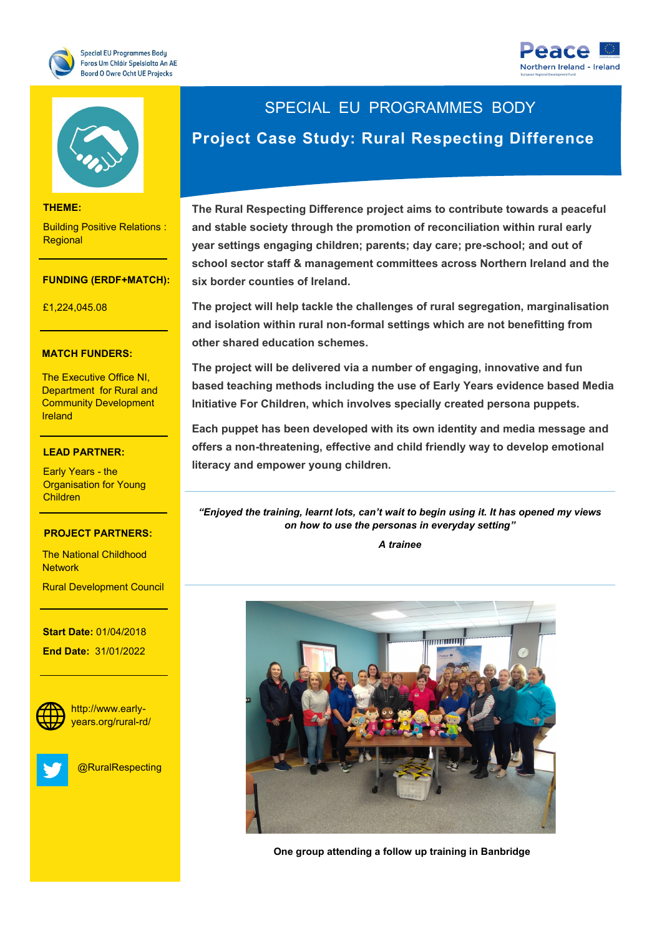





#### **THEME:**

Building Positive Relations : **Regional** 

#### **FUNDING (ERDF+MATCH):**

**THEME:** £1,224,045.08

### **MATCH FUNDERS:**

The Executive Office NI, Department for Rural and Community Development Ireland

### **LEAD PARTNER:**

Organisation for Young<br>Children Early Years - the Children

### PROJECT PARTNERS<mark>:</mark>

- Norther Ireland

The National Childhood<br>Natural **Network** 

Rural Development Council

**Start Date: 01/04/2018** 

**End Date: 31/01/2022** 



http://www.earlyyears.org/rural-rd/



@RuralRespecting

# SPECIAL EU PROGRAMMES BODY

# **Project Case Study: Rural Respecting Difference**

**The Rural Respecting Difference project aims to contribute towards a peaceful and stable society through the promotion of reconciliation within rural early year settings engaging children; parents; day care; pre-school; and out of school sector staff & management committees across Northern Ireland and the six border counties of Ireland.**

**The project will help tackle the challenges of rural segregation, marginalisation and isolation within rural non-formal settings which are not benefitting from other shared education schemes.** 

**The project will be delivered via a number of engaging, innovative and fun based teaching methods including the use of Early Years evidence based Media Initiative For Children, which involves specially created persona puppets.** 

**Each puppet has been developed with its own identity and media message and offers a non-threatening, effective and child friendly way to develop emotional literacy and empower young children.** 

*"Enjoyed the training, learnt lots, can't wait to begin using it. It has opened my views on how to use the personas in everyday setting"*

*A trainee*



**One group attending a follow up training in Banbridge**